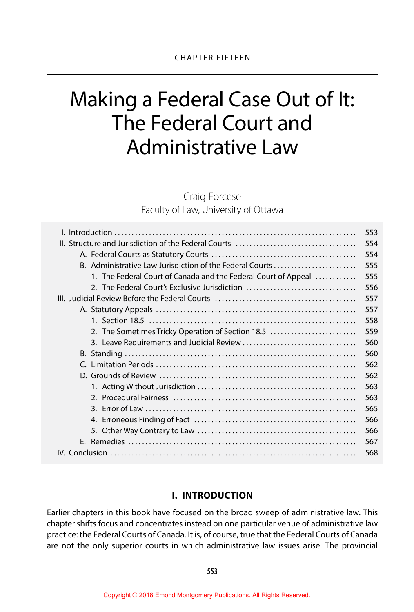# Making a Federal Case Out of It: The Federal Court and Administrative Law

Craig Forcese Faculty of Law, University of Ottawa

|                                                                | 553 |
|----------------------------------------------------------------|-----|
| II. Structure and Jurisdiction of the Federal Courts           | 554 |
|                                                                | 554 |
| B. Administrative Law Jurisdiction of the Federal Courts       | 555 |
| 1. The Federal Court of Canada and the Federal Court of Appeal | 555 |
| 2. The Federal Court's Exclusive Jurisdiction                  | 556 |
|                                                                | 557 |
|                                                                | 557 |
|                                                                | 558 |
| 2. The Sometimes Tricky Operation of Section 18.5              | 559 |
|                                                                | 560 |
|                                                                | 560 |
|                                                                | 562 |
|                                                                | 562 |
|                                                                | 563 |
|                                                                | 563 |
|                                                                | 565 |
|                                                                | 566 |
|                                                                | 566 |
|                                                                | 567 |
|                                                                | 568 |

## **I. INTRODUCTION**

Earlier chapters in this book have focused on the broad sweep of administrative law. This chapter shifts focus and concentrates instead on one particular venue of administrative law practice: the Federal Courts of Canada. It is, of course, true that the Federal Courts of Canada are not the only superior courts in which administrative law issues arise. The provincial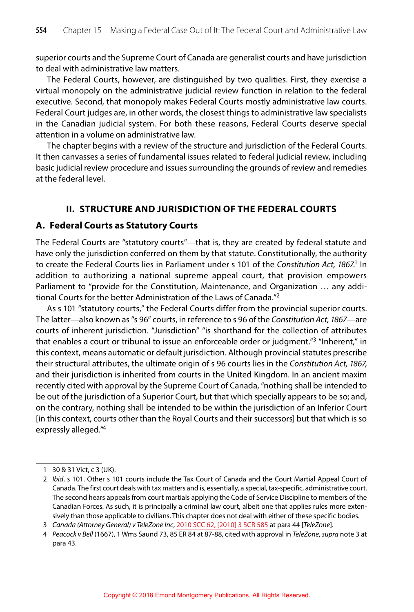superior courts and the Supreme Court of Canada are generalist courts and have jurisdiction to deal with administrative law matters.

The Federal Courts, however, are distinguished by two qualities. First, they exercise a virtual monopoly on the administrative judicial review function in relation to the federal executive. Second, that monopoly makes Federal Courts mostly administrative law courts. Federal Court judges are, in other words, the closest things to administrative law specialists in the Canadian judicial system. For both these reasons, Federal Courts deserve special attention in a volume on administrative law.

The chapter begins with a review of the structure and jurisdiction of the Federal Courts. It then canvasses a series of fundamental issues related to federal judicial review, including basic judicial review procedure and issues surrounding the grounds of review and remedies at the federal level.

# **II. STRUCTURE AND JURISDICTION OF THE FEDERAL COURTS**

## **A. Federal Courts as Statutory Courts**

The Federal Courts are "statutory courts"—that is, they are created by federal statute and have only the jurisdiction conferred on them by that statute. Constitutionally, the authority to create the Federal Courts lies in Parliament under s 101 of the Constitution Act, 1867.<sup>1</sup> In addition to authorizing a national supreme appeal court, that provision empowers Parliament to "provide for the Constitution, Maintenance, and Organization … any additional Courts for the better Administration of the Laws of Canada."2

As s 101 "statutory courts," the Federal Courts differ from the provincial superior courts. The latter—also known as "s 96" courts, in reference to s 96 of the *Constitution Act, 1867*—are courts of inherent jurisdiction. "Jurisdiction" "is shorthand for the collection of attributes that enables a court or tribunal to issue an enforceable order or judgment."3 "Inherent," in this context, means automatic or default jurisdiction. Although provincial statutes prescribe their structural attributes, the ultimate origin of s 96 courts lies in the *Constitution Act, 1867*, and their jurisdiction is inherited from courts in the United Kingdom. In an ancient maxim recently cited with approval by the Supreme Court of Canada, "nothing shall be intended to be out of the jurisdiction of a Superior Court, but that which specially appears to be so; and, on the contrary, nothing shall be intended to be within the jurisdiction of an Inferior Court [in this context, courts other than the Royal Courts and their successors] but that which is so expressly alleged."4

<sup>1</sup> 30 & 31 Vict, c 3 (UK).

<sup>2</sup> *Ibid*, s 101. Other s 101 courts include the Tax Court of Canada and the Court Martial Appeal Court of Canada. The first court deals with tax matters and is, essentially, a special, tax-specific, administrative court. The second hears appeals from court martials applying the Code of Service Discipline to members of the Canadian Forces. As such, it is principally a criminal law court, albeit one that applies rules more extensively than those applicable to civilians. This chapter does not deal with either of these specific bodies.

<sup>3</sup> *Canada (Attorney General) v TeleZone Inc*, [2010 SCC 62, \[2010\] 3 SCR 585](https://www.canlii.org/en/ca/scc/doc/2010/2010scc62/2010scc62.html?autocompleteStr= TeleZone Inc&autocompletePos=1) at para 44 [*TeleZone*].

<sup>4</sup> *Peacock v Bell* (1667), 1 Wms Saund 73, 85 ER 84 at 87-88, cited with approval in *TeleZone*, *supra* note 3 at para 43.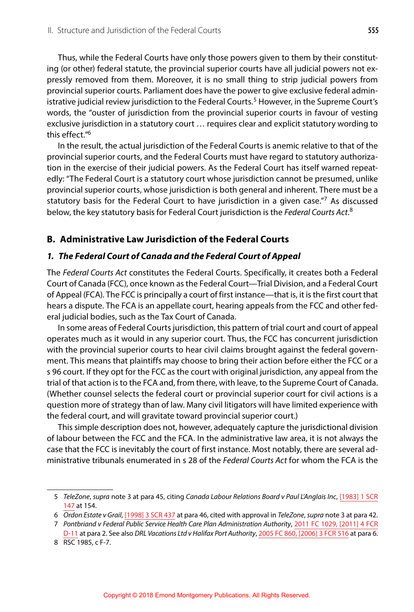Thus, while the Federal Courts have only those powers given to them by their constituting (or other) federal statute, the provincial superior courts have all judicial powers not expressly removed from them. Moreover, it is no small thing to strip judicial powers from provincial superior courts. Parliament does have the power to give exclusive federal administrative judicial review jurisdiction to the Federal Courts.<sup>5</sup> However, in the Supreme Court's words, the "ouster of jurisdiction from the provincial superior courts in favour of vesting exclusive jurisdiction in a statutory court … requires clear and explicit statutory wording to this effect."6

In the result, the actual jurisdiction of the Federal Courts is anemic relative to that of the provincial superior courts, and the Federal Courts must have regard to statutory authorization in the exercise of their judicial powers. As the Federal Court has itself warned repeatedly: "The Federal Court is a statutory court whose jurisdiction cannot be presumed, unlike provincial superior courts, whose jurisdiction is both general and inherent. There must be a statutory basis for the Federal Court to have jurisdiction in a given case.<sup>"7</sup> As discussed below, the key statutory basis for Federal Court jurisdiction is the *Federal Courts Act*. 8

# **B. Administrative Law Jurisdiction of the Federal Courts**

## *1. The Federal Court of Canada and the Federal Court of Appeal*

The *Federal Courts Act* constitutes the Federal Courts. Specifically, it creates both a Federal Court of Canada (FCC), once known as the Federal Court—Trial Division, and a Federal Court of Appeal (FCA). The FCC is principally a court of first instance—that is, it is the first court that hears a dispute. The FCA is an appellate court, hearing appeals from the FCC and other federal judicial bodies, such as the Tax Court of Canada.

In some areas of Federal Courts jurisdiction, this pattern of trial court and court of appeal operates much as it would in any superior court. Thus, the FCC has concurrent jurisdiction with the provincial superior courts to hear civil claims brought against the federal government. This means that plaintiffs may choose to bring their action before either the FCC or a s 96 court. If they opt for the FCC as the court with original jurisdiction, any appeal from the trial of that action is to the FCA and, from there, with leave, to the Supreme Court of Canada. (Whether counsel selects the federal court or provincial superior court for civil actions is a question more of strategy than of law. Many civil litigators will have limited experience with the federal court, and will gravitate toward provincial superior court.)

This simple description does not, however, adequately capture the jurisdictional division of labour between the FCC and the FCA. In the administrative law area, it is not always the case that the FCC is inevitably the court of first instance. Most notably, there are several administrative tribunals enumerated in s 28 of the *Federal Courts Act* for whom the FCA is the

<sup>5</sup> *TeleZone*, *supra* note 3 at para 45, citing *Canada Labour Relations Board v Paul L'Anglais Inc*, [\[1983\] 1 SCR](https://www.canlii.org/en/ca/scc/doc/1983/1983canlii121/1983canlii121.html?autocompleteStr=Canada Labour Relations Board v Paul &autocompletePos=1) [147](https://www.canlii.org/en/ca/scc/doc/1983/1983canlii121/1983canlii121.html?autocompleteStr=Canada Labour Relations Board v Paul &autocompletePos=1) at 154.

<sup>6</sup> *Ordon Estate v Grail*, [\[1998\] 3 SCR 437](http://canlii.ca/t/1fqqd) at para 46, cited with approval in *TeleZone*, *supra* note 3 at para 42.

<sup>7</sup> *Pontbriand v Federal Public Service Health Care Plan Administration Authority*, [2011 FC 1029, \[2011\] 4 FCR](https://www.canlii.org/en/ca/fct/doc/2011/2011fc1029/2011fc1029.html?autocompleteStr=Pontbriand v. Federal Public Service Health Care Plan Administration &autocompletePos=1)

[D-11](https://www.canlii.org/en/ca/fct/doc/2011/2011fc1029/2011fc1029.html?autocompleteStr=Pontbriand v. Federal Public Service Health Care Plan Administration &autocompletePos=1) at para 2. See also *DRL Vacations Ltd v Halifax Port Authority*, [2005 FC 860, \[2006\] 3 FCR 516](https://www.canlii.org/en/ca/fct/doc/2005/2005fc860/2005fc860.html?autocompleteStr=DRL Vacations Ltd. v. Halifax Port &autocompletePos=1) at para 6. 8 RSC 1985, c F-7.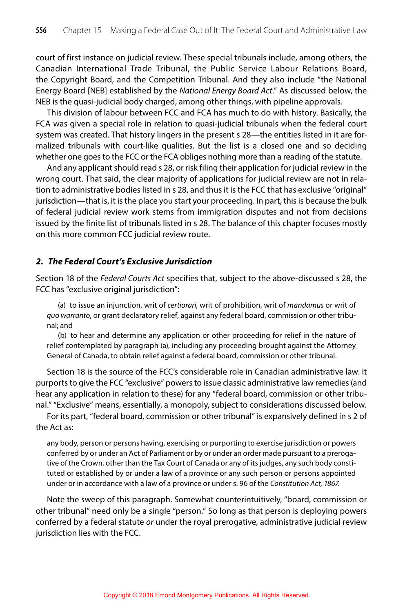court of first instance on judicial review. These special tribunals include, among others, the Canadian International Trade Tribunal, the Public Service Labour Relations Board, the Copyright Board, and the Competition Tribunal. And they also include "the National Energy Board [NEB] established by the *National Energy Board Act*." As discussed below, the NEB is the quasi-judicial body charged, among other things, with pipeline approvals.

This division of labour between FCC and FCA has much to do with history. Basically, the FCA was given a special role in relation to quasi-judicial tribunals when the federal court system was created. That history lingers in the present s 28—the entities listed in it are formalized tribunals with court-like qualities. But the list is a closed one and so deciding whether one goes to the FCC or the FCA obliges nothing more than a reading of the statute.

And any applicant should read s 28, or risk filing their application for judicial review in the wrong court. That said, the clear majority of applications for judicial review are not in relation to administrative bodies listed in s 28, and thus it is the FCC that has exclusive "original" jurisdiction—that is, it is the place you start your proceeding. In part, this is because the bulk of federal judicial review work stems from immigration disputes and not from decisions issued by the finite list of tribunals listed in s 28. The balance of this chapter focuses mostly on this more common FCC judicial review route.

## *2. The Federal Court's Exclusive Jurisdiction*

Section 18 of the *Federal Courts Act* specifies that, subject to the above-discussed s 28, the FCC has "exclusive original jurisdiction":

(a) to issue an injunction, writ of *certiorari*, writ of prohibition, writ of *mandamus* or writ of *quo warranto*, or grant declaratory relief, against any federal board, commission or other tribunal; and

(b) to hear and determine any application or other proceeding for relief in the nature of relief contemplated by paragraph (a), including any proceeding brought against the Attorney General of Canada, to obtain relief against a federal board, commission or other tribunal.

Section 18 is the source of the FCC's considerable role in Canadian administrative law. It purports to give the FCC "exclusive" powers to issue classic administrative law remedies (and hear any application in relation to these) for any "federal board, commission or other tribunal." "Exclusive" means, essentially, a monopoly, subject to considerations discussed below.

For its part, "federal board, commission or other tribunal" is expansively defined in s 2 of the Act as:

any body, person or persons having, exercising or purporting to exercise jurisdiction or powers conferred by or under an Act of Parliament or by or under an order made pursuant to a prerogative of the Crown, other than the Tax Court of Canada or any of its judges, any such body constituted or established by or under a law of a province or any such person or persons appointed under or in accordance with a law of a province or under s. 96 of the *Constitution Act, 1867*.

Note the sweep of this paragraph. Somewhat counterintuitively, "board, commission or other tribunal" need only be a single "person." So long as that person is deploying powers conferred by a federal statute *or* under the royal prerogative, administrative judicial review jurisdiction lies with the FCC.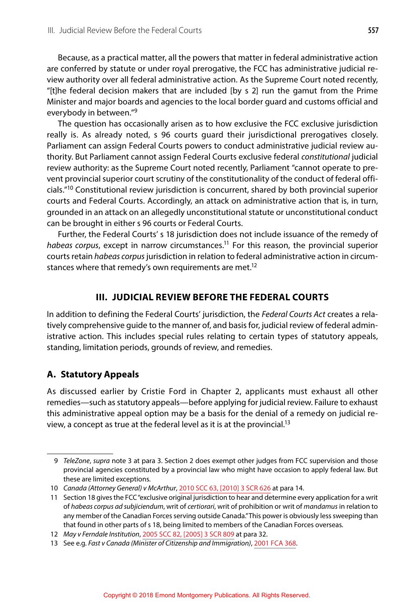Because, as a practical matter, all the powers that matter in federal administrative action are conferred by statute or under royal prerogative, the FCC has administrative judicial review authority over all federal administrative action. As the Supreme Court noted recently, "[t]he federal decision makers that are included [by s 2] run the gamut from the Prime Minister and major boards and agencies to the local border guard and customs official and everybody in between."9

The question has occasionally arisen as to how exclusive the FCC exclusive jurisdiction really is. As already noted, s 96 courts guard their jurisdictional prerogatives closely. Parliament can assign Federal Courts powers to conduct administrative judicial review authority. But Parliament cannot assign Federal Courts exclusive federal *constitutional* judicial review authority: as the Supreme Court noted recently, Parliament "cannot operate to prevent provincial superior court scrutiny of the constitutionality of the conduct of federal officials."10 Constitutional review jurisdiction is concurrent, shared by both provincial superior courts and Federal Courts. Accordingly, an attack on administrative action that is, in turn, grounded in an attack on an allegedly unconstitutional statute or unconstitutional conduct can be brought in either s 96 courts or Federal Courts.

Further, the Federal Courts' s 18 jurisdiction does not include issuance of the remedy of *habeas corpus*, except in narrow circumstances.11 For this reason, the provincial superior courts retain *habeas corpus* jurisdiction in relation to federal administrative action in circumstances where that remedy's own requirements are met.<sup>12</sup>

## **III. JUDICIAL REVIEW BEFORE THE FEDERAL COURTS**

In addition to defining the Federal Courts' jurisdiction, the *Federal Courts Act* creates a relatively comprehensive guide to the manner of, and basis for, judicial review of federal administrative action. This includes special rules relating to certain types of statutory appeals, standing, limitation periods, grounds of review, and remedies.

## **A. Statutory Appeals**

As discussed earlier by Cristie Ford in Chapter 2, applicants must exhaust all other remedies—such as statutory appeals—before applying for judicial review. Failure to exhaust this administrative appeal option may be a basis for the denial of a remedy on judicial review, a concept as true at the federal level as it is at the provincial.<sup>13</sup>

<sup>9</sup> *TeleZone*, *supra* note 3 at para 3. Section 2 does exempt other judges from FCC supervision and those provincial agencies constituted by a provincial law who might have occasion to apply federal law. But these are limited exceptions.

<sup>10</sup> *Canada (Attorney General) v McArthur*, [2010 SCC 63, \[2010\] 3 SCR 626](https://www.canlii.org/en/ca/scc/doc/2010/2010scc63/2010scc63.html?autocompleteStr=Canada (Attorney General) v. McArthur&autocompletePos=1) at para 14.

<sup>11</sup> Section 18 gives the FCC "exclusive original jurisdiction to hear and determine every application for a writ of *habeas corpus ad subjiciendum*, writ of *certiorari*, writ of prohibition or writ of *mandamus* in relation to any member of the Canadian Forces serving outside Canada." This power is obviously less sweeping than that found in other parts of s 18, being limited to members of the Canadian Forces overseas.

<sup>12</sup> *May v Ferndale Institution*, [2005 SCC 82, \[2005\] 3 SCR 809](https://www.canlii.org/en/ca/scc/doc/2005/2005scc82/2005scc82.html?autocompleteStr=May v Ferndale Institution%2C 2005 SCC 82&autocompletePos=1) at para 32.

<sup>13</sup> See e.g. *Fast v Canada (Minister of Citizenship and Immigration)*, [2001 FCA 368.](https://www.canlii.org/en/ca/fca/doc/2001/2001fca368/2001fca368.html?autocompleteStr=2001 FCA 368&autocompletePos=1)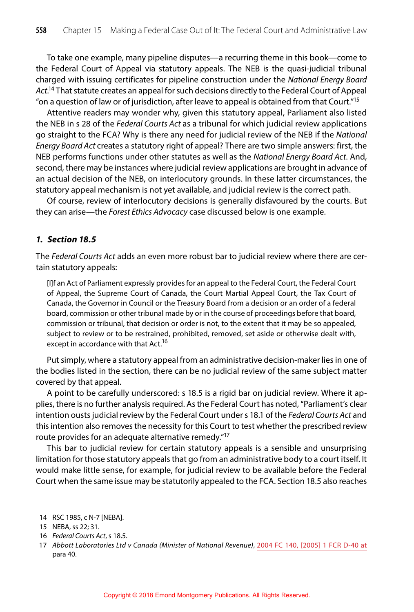To take one example, many pipeline disputes—a recurring theme in this book—come to the Federal Court of Appeal via statutory appeals. The NEB is the quasi-judicial tribunal charged with issuing certificates for pipeline construction under the *National Energy Board Act*. 14 That statute creates an appeal for such decisions directly to the Federal Court of Appeal "on a question of law or of jurisdiction, after leave to appeal is obtained from that Court."15

Attentive readers may wonder why, given this statutory appeal, Parliament also listed the NEB in s 28 of the *Federal Courts Act* as a tribunal for which judicial review applications go straight to the FCA? Why is there any need for judicial review of the NEB if the *National Energy Board Act* creates a statutory right of appeal? There are two simple answers: first, the NEB performs functions under other statutes as well as the *National Energy Board Act*. And, second, there may be instances where judicial review applications are brought in advance of an actual decision of the NEB, on interlocutory grounds. In these latter circumstances, the statutory appeal mechanism is not yet available, and judicial review is the correct path.

Of course, review of interlocutory decisions is generally disfavoured by the courts. But they can arise—the *Forest Ethics Advocacy* case discussed below is one example.

#### *1. Section 18.5*

The *Federal Courts Act* adds an even more robust bar to judicial review where there are certain statutory appeals:

[I]f an Act of Parliament expressly provides for an appeal to the Federal Court, the Federal Court of Appeal, the Supreme Court of Canada, the Court Martial Appeal Court, the Tax Court of Canada, the Governor in Council or the Treasury Board from a decision or an order of a federal board, commission or other tribunal made by or in the course of proceedings before that board, commission or tribunal, that decision or order is not, to the extent that it may be so appealed, subject to review or to be restrained, prohibited, removed, set aside or otherwise dealt with, except in accordance with that Act.<sup>16</sup>

Put simply, where a statutory appeal from an administrative decision-maker lies in one of the bodies listed in the section, there can be no judicial review of the same subject matter covered by that appeal.

A point to be carefully underscored: s 18.5 is a rigid bar on judicial review. Where it applies, there is no further analysis required. As the Federal Court has noted, "Parliament's clear intention ousts judicial review by the Federal Court under s 18.1 of the *Federal Courts Act* and this intention also removes the necessity for this Court to test whether the prescribed review route provides for an adequate alternative remedy."17

This bar to judicial review for certain statutory appeals is a sensible and unsurprising limitation for those statutory appeals that go from an administrative body to a court itself. It would make little sense, for example, for judicial review to be available before the Federal Court when the same issue may be statutorily appealed to the FCA. Section 18.5 also reaches

<sup>14</sup> RSC 1985, c N-7 [NEBA].

<sup>15</sup> NEBA, ss 22; 31.

<sup>16</sup> *Federal Courts Act*, s 18.5.

<sup>17</sup> *Abbott Laboratories Ltd v Canada (Minister of National Revenue)*, [2004 FC 140, \[2005\] 1 FCR D-40 at](https://www.canlii.org/en/ca/fct/doc/2004/2004fc140/2004fc140.html?autocompleteStr=Abbott Laboratories%2C Ltd&autocompletePos=4) para 40.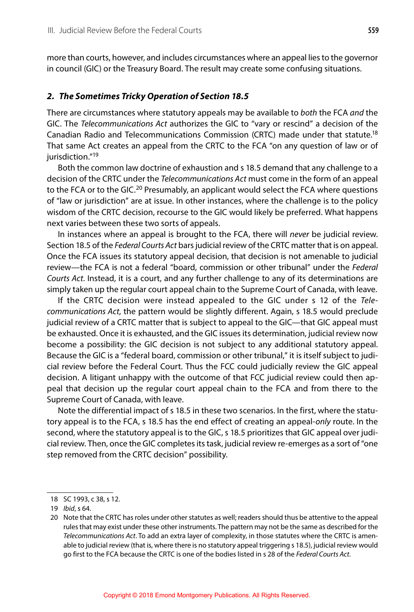more than courts, however, and includes circumstances where an appeal lies to the governor in council (GIC) or the Treasury Board. The result may create some confusing situations.

## *2. The Sometimes Tricky Operation of Section 18.5*

There are circumstances where statutory appeals may be available to *both* the FCA *and* the GIC. The *Telecommunications Act* authorizes the GIC to "vary or rescind" a decision of the Canadian Radio and Telecommunications Commission (CRTC) made under that statute.18 That same Act creates an appeal from the CRTC to the FCA "on any question of law or of jurisdiction."<sup>19</sup>

Both the common law doctrine of exhaustion and s 18.5 demand that any challenge to a decision of the CRTC under the *Telecommunications Act* must come in the form of an appeal to the FCA or to the GIC.<sup>20</sup> Presumably, an applicant would select the FCA where questions of "law or jurisdiction" are at issue. In other instances, where the challenge is to the policy wisdom of the CRTC decision, recourse to the GIC would likely be preferred. What happens next varies between these two sorts of appeals.

In instances where an appeal is brought to the FCA, there will *never* be judicial review. Section 18.5 of the *Federal Courts Act* bars judicial review of the CRTC matter that is on appeal. Once the FCA issues its statutory appeal decision, that decision is not amenable to judicial review—the FCA is not a federal "board, commission or other tribunal" under the *Federal Courts Act*. Instead, it is a court, and any further challenge to any of its determinations are simply taken up the regular court appeal chain to the Supreme Court of Canada, with leave.

If the CRTC decision were instead appealed to the GIC under s 12 of the *Telecommunications Act*, the pattern would be slightly different. Again, s 18.5 would preclude judicial review of a CRTC matter that is subject to appeal to the GIC—that GIC appeal must be exhausted. Once it is exhausted, and the GIC issues its determination, judicial review now become a possibility: the GIC decision is not subject to any additional statutory appeal. Because the GIC is a "federal board, commission or other tribunal," it is itself subject to judicial review before the Federal Court. Thus the FCC could judicially review the GIC appeal decision. A litigant unhappy with the outcome of that FCC judicial review could then appeal that decision up the regular court appeal chain to the FCA and from there to the Supreme Court of Canada, with leave.

Note the differential impact of s 18.5 in these two scenarios. In the first, where the statutory appeal is to the FCA, s 18.5 has the end effect of creating an appeal-*only* route. In the second, where the statutory appeal is to the GIC, s 18.5 prioritizes that GIC appeal over judicial review. Then, once the GIC completes its task, judicial review re-emerges as a sort of "one step removed from the CRTC decision" possibility.

<sup>18</sup> SC 1993, c 38, s 12.

<sup>19</sup> *Ibid*, s 64.

<sup>20</sup> Note that the CRTC has roles under other statutes as well; readers should thus be attentive to the appeal rules that may exist under these other instruments. The pattern may not be the same as described for the *Telecommunications Act*. To add an extra layer of complexity, in those statutes where the CRTC is amenable to judicial review (that is, where there is no statutory appeal triggering s 18.5), judicial review would go first to the FCA because the CRTC is one of the bodies listed in s 28 of the *Federal Courts Act*.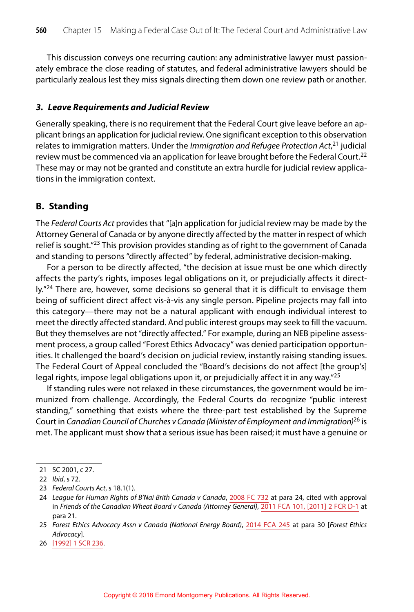This discussion conveys one recurring caution: any administrative lawyer must passionately embrace the close reading of statutes, and federal administrative lawyers should be particularly zealous lest they miss signals directing them down one review path or another.

## *3. Leave Requirements and Judicial Review*

Generally speaking, there is no requirement that the Federal Court give leave before an applicant brings an application for judicial review. One significant exception to this observation relates to immigration matters. Under the *Immigration and Refugee Protection Act*, 21 judicial review must be commenced via an application for leave brought before the Federal Court.<sup>22</sup> These may or may not be granted and constitute an extra hurdle for judicial review applications in the immigration context.

# **B. Standing**

The *Federal Courts Act* provides that "[a]n application for judicial review may be made by the Attorney General of Canada or by anyone directly affected by the matter in respect of which relief is sought."<sup>23</sup> This provision provides standing as of right to the government of Canada and standing to persons "directly affected" by federal, administrative decision-making.

For a person to be directly affected, "the decision at issue must be one which directly affects the party's rights, imposes legal obligations on it, or prejudicially affects it direct- $Iy''^{24}$  There are, however, some decisions so general that it is difficult to envisage them being of sufficient direct affect vis-à-vis any single person. Pipeline projects may fall into this category—there may not be a natural applicant with enough individual interest to meet the directly affected standard. And public interest groups may seek to fill the vacuum. But they themselves are not "directly affected." For example, during an NEB pipeline assessment process, a group called "Forest Ethics Advocacy" was denied participation opportunities. It challenged the board's decision on judicial review, instantly raising standing issues. The Federal Court of Appeal concluded the "Board's decisions do not affect [the group's] legal rights, impose legal obligations upon it, or prejudicially affect it in any way.<sup>"25</sup>

If standing rules were not relaxed in these circumstances, the government would be immunized from challenge. Accordingly, the Federal Courts do recognize "public interest standing," something that exists where the three-part test established by the Supreme Court in *Canadian Council of Churches v Canada (Minister of Employment and Immigration)*26 is met. The applicant must show that a serious issue has been raised; it must have a genuine or

<sup>21</sup> SC 2001, c 27.

<sup>22</sup> *Ibid*, s 72.

<sup>23</sup> *Federal Courts Act*, s 18.1(1).

<sup>24</sup> *League for Human Rights of B'Nai Brith Canada v Canada*, [2008 FC 732](https://www.canlii.org/en/ca/fct/doc/2008/2008fc732/2008fc732.html?autocompleteStr=2008 FC 732 &autocompletePos=1) at para 24, cited with approval in *Friends of the Canadian Wheat Board v Canada (Attorney General)*, [2011 FCA 101, \[2011\] 2 FCR D-1](https://www.canlii.org/en/ca/fca/doc/2011/2011fca101/2011fca101.html?autocompleteStr=Friends of the Canadian Wheat Board v. Canada (Attorney &autocompletePos=3) at para 21.

<sup>25</sup> *Forest Ethics Advocacy Assn v Canada (National Energy Board)*, [2014 FCA 245](https://www.canlii.org/en/ca/fca/doc/2014/2014fca245/2014fca245.html?autocompleteStr=Forest Ethics Advocacy &autocompletePos=1) at para 30 [*Forest Ethics Advocacy*].

<sup>26</sup> [\[1992\] 1 SCR 236](https://www.canlii.org/en/ca/scc/doc/1992/1992canlii116/1992canlii116.html?autocompleteStr=%5B1992%5D 1 SCR 236&autocompletePos=1).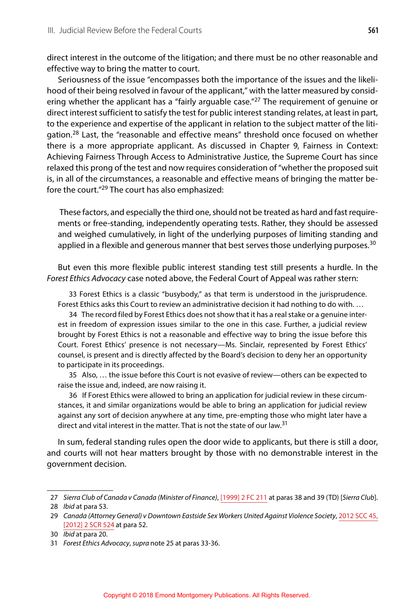direct interest in the outcome of the litigation; and there must be no other reasonable and effective way to bring the matter to court.

Seriousness of the issue "encompasses both the importance of the issues and the likelihood of their being resolved in favour of the applicant," with the latter measured by considering whether the applicant has a "fairly arguable case."<sup>27</sup> The requirement of genuine or direct interest sufficient to satisfy the test for public interest standing relates, at least in part, to the experience and expertise of the applicant in relation to the subject matter of the litigation.<sup>28</sup> Last, the "reasonable and effective means" threshold once focused on whether there is a more appropriate applicant. As discussed in Chapter 9, Fairness in Context: Achieving Fairness Through Access to Administrative Justice, the Supreme Court has since relaxed this prong of the test and now requires consideration of "whether the proposed suit is, in all of the circumstances, a reasonable and effective means of bringing the matter before the court."29 The court has also emphasized:

 These factors, and especially the third one, should not be treated as hard and fast requirements or free-standing, independently operating tests. Rather, they should be assessed and weighed cumulatively, in light of the underlying purposes of limiting standing and applied in a flexible and generous manner that best serves those underlying purposes.<sup>30</sup>

But even this more flexible public interest standing test still presents a hurdle. In the *Forest Ethics Advocacy* case noted above, the Federal Court of Appeal was rather stern:

33 Forest Ethics is a classic "busybody," as that term is understood in the jurisprudence. Forest Ethics asks this Court to review an administrative decision it had nothing to do with. …

34 The record filed by Forest Ethics does not show that it has a real stake or a genuine interest in freedom of expression issues similar to the one in this case. Further, a judicial review brought by Forest Ethics is not a reasonable and effective way to bring the issue before this Court. Forest Ethics' presence is not necessary—Ms. Sinclair, represented by Forest Ethics' counsel, is present and is directly affected by the Board's decision to deny her an opportunity to participate in its proceedings.

35 Also, … the issue before this Court is not evasive of review—others can be expected to raise the issue and, indeed, are now raising it.

36 If Forest Ethics were allowed to bring an application for judicial review in these circumstances, it and similar organizations would be able to bring an application for judicial review against any sort of decision anywhere at any time, pre-empting those who might later have a direct and vital interest in the matter. That is not the state of our law.<sup>31</sup>

In sum, federal standing rules open the door wide to applicants, but there is still a door, and courts will not hear matters brought by those with no demonstrable interest in the government decision.

<sup>27</sup> *Sierra Club of Canada v Canada (Minister of Finance)*, [\[1999\] 2 FC 211](https://www.canlii.org/en/ca/fct/doc/1998/1998canlii9124/1998canlii9124.html?autocompleteStr=Sierra Club of Canada v. Canada (Minister of Finance)%2C %5B1999%5D 2 F.C. 211 &autocompletePos=1) at paras 38 and 39 (TD) [*Sierra Club*]. 28 *Ibid* at para 53.

<sup>29</sup> *Canada (Attorney General) v Downtown Eastside Sex Workers United Against Violence Society*, [2012 SCC 45,](https://www.canlii.org/en/ca/scc/doc/2012/2012scc45/2012scc45.html?autocompleteStr=Canada (Attorney General) v. Downtown Eastside Sex Workers &autocompletePos=1) [\[2012\] 2 SCR 524](https://www.canlii.org/en/ca/scc/doc/2012/2012scc45/2012scc45.html?autocompleteStr=Canada (Attorney General) v. Downtown Eastside Sex Workers &autocompletePos=1) at para 52.

<sup>30</sup> *Ibid* at para 20.

<sup>31</sup> *Forest Ethics Advocacy*, *supra* note 25 at paras 33-36.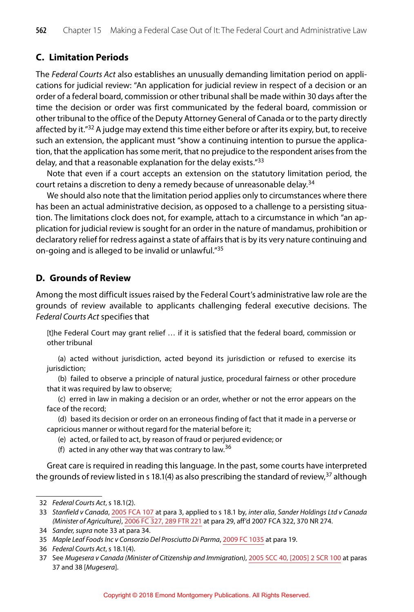# **C. Limitation Periods**

The *Federal Courts Act* also establishes an unusually demanding limitation period on applications for judicial review: "An application for judicial review in respect of a decision or an order of a federal board, commission or other tribunal shall be made within 30 days after the time the decision or order was first communicated by the federal board, commission or other tribunal to the office of the Deputy Attorney General of Canada or to the party directly affected by it." $32$  A judge may extend this time either before or after its expiry, but, to receive such an extension, the applicant must "show a continuing intention to pursue the application, that the application has some merit, that no prejudice to the respondent arises from the delay, and that a reasonable explanation for the delay exists."33

Note that even if a court accepts an extension on the statutory limitation period, the court retains a discretion to deny a remedy because of unreasonable delay.<sup>34</sup>

We should also note that the limitation period applies only to circumstances where there has been an actual administrative decision, as opposed to a challenge to a persisting situation. The limitations clock does not, for example, attach to a circumstance in which "an application for judicial review is sought for an order in the nature of mandamus, prohibition or declaratory relief for redress against a state of affairs that is by its very nature continuing and on-going and is alleged to be invalid or unlawful."35

## **D. Grounds of Review**

Among the most difficult issues raised by the Federal Court's administrative law role are the grounds of review available to applicants challenging federal executive decisions. The *Federal Courts Act* specifies that

[t]he Federal Court may grant relief … if it is satisfied that the federal board, commission or other tribunal

(a) acted without jurisdiction, acted beyond its jurisdiction or refused to exercise its jurisdiction;

(b) failed to observe a principle of natural justice, procedural fairness or other procedure that it was required by law to observe;

(c) erred in law in making a decision or an order, whether or not the error appears on the face of the record;

(d) based its decision or order on an erroneous finding of fact that it made in a perverse or capricious manner or without regard for the material before it;

(e) acted, or failed to act, by reason of fraud or perjured evidence; or

(f) acted in any other way that was contrary to law.<sup>36</sup>

Great care is required in reading this language. In the past, some courts have interpreted the grounds of review listed in s 18.1(4) as also prescribing the standard of review,<sup>37</sup> although

<sup>32</sup> *Federal Courts Act*, s 18.1(2).

<sup>33</sup> *Stanfield v Canada*, [2005 FCA 107](https://www.canlii.org/en/ca/fca/doc/2005/2005fca107/2005fca107.html?autocompleteStr=Stanfield v. Canada%2C &autocompletePos=1) at para 3, applied to s 18.1 by, *inter alia*, *Sander Holdings Ltd v Canada (Minister of Agriculture)*, [2006 FC 327, 289 FTR 221](https://www.canlii.org/en/ca/fct/doc/2006/2006fc327/2006fc327.html?autocompleteStr=Holdings Ltd. v. Canada (Minister of Agriculture)%2C &autocompletePos=1) at para 29, aff'd 2007 FCA 322, 370 NR 274.

<sup>34</sup> *Sander, supra* note 33 at para 34.

<sup>35</sup> *Maple Leaf Foods Inc v Consorzio Del Prosciutto Di Parma*, [2009 FC 1035](https://www.canlii.org/en/ca/fct/doc/2009/2009fc1035/2009fc1035.html?autocompleteStr=Maple Leaf Foods Inc. v. Consorzio Del Prosciutto Di Parma&autocompletePos=1) at para 19.

<sup>36</sup> *Federal Courts Act*, s 18.1(4).

<sup>37</sup> See *Mugesera v Canada (Minister of Citizenship and Immigration)*, [2005 SCC 40, \[2005\] 2 SCR](https://www.canlii.org/en/ca/scc/doc/2005/2005scc40/2005scc40.html?autocompleteStr=Mugesera v. Canada &autocompletePos=1) 100 at paras 37 and 38 [*Mugesera*].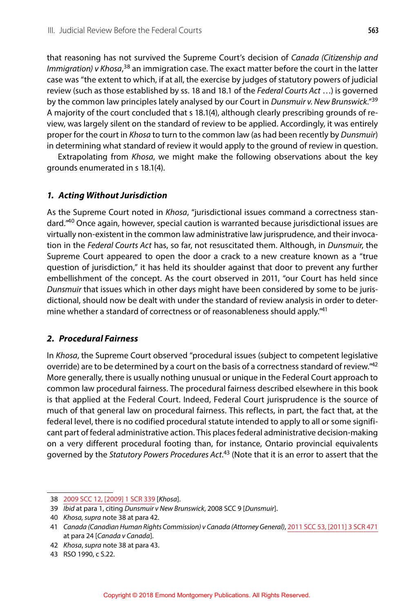that reasoning has not survived the Supreme Court's decision of *Canada (Citizenship and Immigration) v Khosa*, 38 an immigration case. The exact matter before the court in the latter case was "the extent to which, if at all, the exercise by judges of statutory powers of judicial review (such as those established by ss. 18 and 18.1 of the *Federal Courts Act* …) is governed by the common law principles lately analysed by our Court in *Dunsmuir v. New Brunswick*."39 A majority of the court concluded that s 18.1(4), although clearly prescribing grounds of review, was largely silent on the standard of review to be applied. Accordingly, it was entirely proper for the court in *Khosa* to turn to the common law (as had been recently by *Dunsmuir*) in determining what standard of review it would apply to the ground of review in question.

Extrapolating from *Khosa*, we might make the following observations about the key grounds enumerated in s 18.1(4).

#### *1. Acting Without Jurisdiction*

As the Supreme Court noted in *Khosa*, "jurisdictional issues command a correctness standard."40 Once again, however, special caution is warranted because jurisdictional issues are virtually non-existent in the common law administrative law jurisprudence, and their invocation in the *Federal Courts Act* has, so far, not resuscitated them. Although, in *Dunsmuir*, the Supreme Court appeared to open the door a crack to a new creature known as a "true question of jurisdiction," it has held its shoulder against that door to prevent any further embellishment of the concept. As the court observed in 2011, "our Court has held since *Dunsmuir* that issues which in other days might have been considered by some to be jurisdictional, should now be dealt with under the standard of review analysis in order to determine whether a standard of correctness or of reasonableness should apply."41

#### *2. Procedural Fairness*

In *Khosa*, the Supreme Court observed "procedural issues (subject to competent legislative override) are to be determined by a court on the basis of a correctness standard of review." $42$ More generally, there is usually nothing unusual or unique in the Federal Court approach to common law procedural fairness. The procedural fairness described elsewhere in this book is that applied at the Federal Court. Indeed, Federal Court jurisprudence is the source of much of that general law on procedural fairness. This reflects, in part, the fact that, at the federal level, there is no codified procedural statute intended to apply to all or some significant part of federal administrative action. This places federal administrative decision-making on a very different procedural footing than, for instance, Ontario provincial equivalents governed by the *Statutory Powers Procedures Act*. 43 (Note that it is an error to assert that the

<sup>38</sup> [2009 SCC 12, \[2009\] 1 SCR 339](https://www.canlii.org/en/ca/scc/doc/2009/2009scc12/2009scc12.html?autocompleteStr=2009 SCC 12%2C %5B2009%5D 1 S.C.R. 339 &autocompletePos=1) [*Khosa*].

<sup>39</sup> *Ibid* at para 1, citing *Dunsmuir v New Brunswick*, 2008 SCC 9 [*Dunsmuir*].

<sup>40</sup> *Khosa, supra* note 38 at para 42.

<sup>41</sup> *Canada (Canadian Human Rights Commission) v Canada (Attorney General)*, [2011 SCC 53, \[2011\] 3 SCR 471](https://www.canlii.org/en/ca/scc/doc/2011/2011scc53/2011scc53.html?autocompleteStr=Canada v. Canada%2C 2011 SCC 53%2C &autocompletePos=1) at para 24 [*Canada v Canada*].

<sup>42</sup> *Khosa*, *supra* note 38 at para 43.

<sup>43</sup> RSO 1990, c S.22.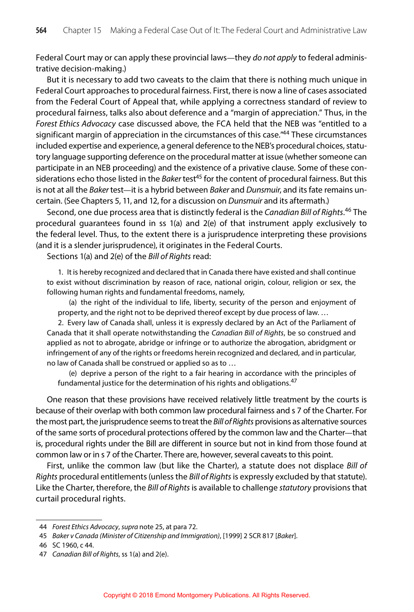Federal Court may or can apply these provincial laws—they *do not apply* to federal administrative decision-making.)

But it is necessary to add two caveats to the claim that there is nothing much unique in Federal Court approaches to procedural fairness. First, there is now a line of cases associated from the Federal Court of Appeal that, while applying a correctness standard of review to procedural fairness, talks also about deference and a "margin of appreciation." Thus, in the *Forest Ethics Advocacy* case discussed above, the FCA held that the NEB was "entitled to a significant margin of appreciation in the circumstances of this case.<sup>"44</sup> These circumstances included expertise and experience, a general deference to the NEB's procedural choices, statutory language supporting deference on the procedural matter at issue (whether someone can participate in an NEB proceeding) and the existence of a privative clause. Some of these considerations echo those listed in the *Baker* test<sup>45</sup> for the content of procedural fairness. But this is not at all the *Baker* test—it is a hybrid between *Baker* and *Dunsmuir*, and its fate remains uncertain. (See Chapters 5, 11, and 12, for a discussion on *Dunsmuir* and its aftermath.)

Second, one due process area that is distinctly federal is the *Canadian Bill of Rights*. 46 The procedural guarantees found in ss 1(a) and 2(e) of that instrument apply exclusively to the federal level. Thus, to the extent there is a jurisprudence interpreting these provisions (and it is a slender jurisprudence), it originates in the Federal Courts.

Sections 1(a) and 2(e) of the *Bill of Rights* read:

1. It is hereby recognized and declared that in Canada there have existed and shall continue to exist without discrimination by reason of race, national origin, colour, religion or sex, the following human rights and fundamental freedoms, namely,

(a) the right of the individual to life, liberty, security of the person and enjoyment of property, and the right not to be deprived thereof except by due process of law. …

2. Every law of Canada shall, unless it is expressly declared by an Act of the Parliament of Canada that it shall operate notwithstanding the *Canadian Bill of Rights*, be so construed and applied as not to abrogate, abridge or infringe or to authorize the abrogation, abridgment or infringement of any of the rights or freedoms herein recognized and declared, and in particular, no law of Canada shall be construed or applied so as to …

(e) deprive a person of the right to a fair hearing in accordance with the principles of fundamental justice for the determination of his rights and obligations.<sup>47</sup>

One reason that these provisions have received relatively little treatment by the courts is because of their overlap with both common law procedural fairness and s 7 of the Charter. For the most part, the jurisprudence seems to treat the *Bill of Rights* provisions as alternative sources of the same sorts of procedural protections offered by the common law and the Charter—that is, procedural rights under the Bill are different in source but not in kind from those found at common law or in s 7 of the Charter. There are, however, several caveats to this point.

First, unlike the common law (but like the Charter), a statute does not displace *Bill of Rights* procedural entitlements (unless the *Bill of Rights* is expressly excluded by that statute). Like the Charter, therefore, the *Bill of Rights* is available to challenge *statutory* provisions that curtail procedural rights.

<sup>44</sup> *Forest Ethics Advocacy*, *supra* note 25, at para 72.

<sup>45</sup> *Baker v Canada (Minister of Citizenship and Immigration)*, [1999] 2 SCR 817 [*Baker*].

<sup>46</sup> SC 1960, c 44.

<sup>47</sup> *Canadian Bill of Rights*, ss 1(a) and 2(e).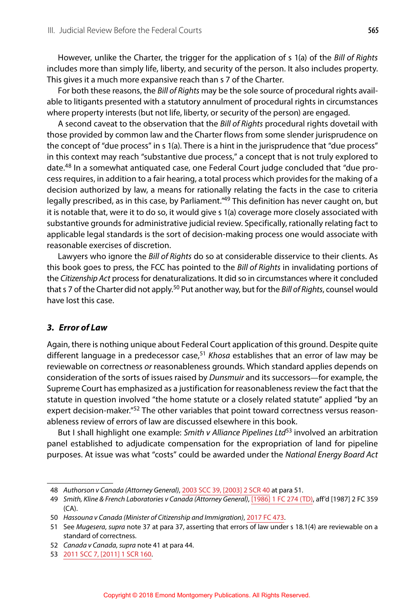However, unlike the Charter, the trigger for the application of s 1(a) of the *Bill of Rights* includes more than simply life, liberty, and security of the person. It also includes property. This gives it a much more expansive reach than s 7 of the Charter.

For both these reasons, the *Bill of Rights* may be the sole source of procedural rights available to litigants presented with a statutory annulment of procedural rights in circumstances where property interests (but not life, liberty, or security of the person) are engaged.

A second caveat to the observation that the *Bill of Rights* procedural rights dovetail with those provided by common law and the Charter flows from some slender jurisprudence on the concept of "due process" in s 1(a). There is a hint in the jurisprudence that "due process" in this context may reach "substantive due process," a concept that is not truly explored to date.<sup>48</sup> In a somewhat antiquated case, one Federal Court judge concluded that "due process requires, in addition to a fair hearing, a total process which provides for the making of a decision authorized by law, a means for rationally relating the facts in the case to criteria legally prescribed, as in this case, by Parliament.<sup>"49</sup> This definition has never caught on, but it is notable that, were it to do so, it would give s 1(a) coverage more closely associated with substantive grounds for administrative judicial review. Specifically, rationally relating fact to applicable legal standards is the sort of decision-making process one would associate with reasonable exercises of discretion.

Lawyers who ignore the *Bill of Rights* do so at considerable disservice to their clients. As this book goes to press, the FCC has pointed to the *Bill of Rights* in invalidating portions of the *Citizenship Act* process for denaturalizations. It did so in circumstances where it concluded that s 7 of the Charter did not apply.50 Put another way, but for the *Bill of Rights*, counsel would have lost this case.

#### *3. Error of Law*

Again, there is nothing unique about Federal Court application of this ground. Despite quite different language in a predecessor case,<sup>51</sup> *Khosa* establishes that an error of law may be reviewable on correctness *or* reasonableness grounds. Which standard applies depends on consideration of the sorts of issues raised by *Dunsmuir* and its successors—for example, the Supreme Court has emphasized as a justification for reasonableness review the fact that the statute in question involved "the home statute or a closely related statute" applied "by an expert decision-maker."<sup>52</sup> The other variables that point toward correctness versus reasonableness review of errors of law are discussed elsewhere in this book.

But I shall highlight one example: *Smith v Alliance Pipelines Ltd*<sup>53</sup> involved an arbitration panel established to adjudicate compensation for the expropriation of land for pipeline purposes. At issue was what "costs" could be awarded under the *National Energy Board Act* 

<sup>48</sup> *Authorson v Canada (Attorney General)*, [2003 SCC 39, \[2003\] 2 SCR 40](https://www.canlii.org/en/ca/scc/doc/2003/2003scc39/2003scc39.html?autocompleteStr=Authorson v. Canada (Attorney General)%2C &autocompletePos=1) at para 51.

<sup>49</sup> *Smith, Kline & French Laboratories v Canada (Attorney General)*, [\[1986\] 1 FC 274 \(TD\)](https://www.canlii.org/en/ca/fct/doc/1985/1985canlii3151/1985canlii3151.html?autocompleteStr=%5B1986%5D 1 F.C. 274 &autocompletePos=1), aff'd [1987] 2 FC 359 (CA).

<sup>50</sup> *Hassouna v Canada (Minister of Citizenship and Immigration)*, [2017 FC 473.](https://www.canlii.org/en/ca/fct/doc/2017/2017fc473/2017fc473.html?autocompleteStr=Hassouna v&autocompletePos=1)

<sup>51</sup> See *Mugesera*, *supra* note 37 at para 37, asserting that errors of law under s 18.1(4) are reviewable on a standard of correctness.

<sup>52</sup> *Canada v Canada*, *supra* note 41 at para 44.

<sup>53</sup> [2011 SCC 7, \[2011\] 1 SCR 160.](https://www.canlii.org/en/ca/scc/doc/2011/2011scc7/2011scc7.html?autocompleteStr=Smith v Alliance Pipelines Ltd &autocompletePos=1)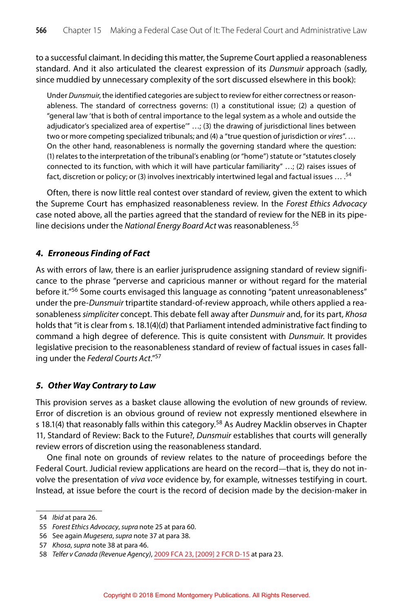to a successful claimant. In deciding this matter, the Supreme Court applied a reasonableness standard. And it also articulated the clearest expression of its *Dunsmuir* approach (sadly, since muddied by unnecessary complexity of the sort discussed elsewhere in this book):

Under *Dunsmuir*, the identified categories are subject to review for either correctness or reasonableness. The standard of correctness governs: (1) a constitutional issue; (2) a question of "general law 'that is both of central importance to the legal system as a whole and outside the adjudicator's specialized area of expertise'" …; (3) the drawing of jurisdictional lines between two or more competing specialized tribunals; and (4) a "true question of jurisdiction or *vires*". … On the other hand, reasonableness is normally the governing standard where the question: (1) relates to the interpretation of the tribunal's enabling (or "home") statute or "statutes closely connected to its function, with which it will have particular familiarity" …; (2) raises issues of fact, discretion or policy; or (3) involves inextricably intertwined legal and factual issues  $\dots$ .<sup>54</sup>

Often, there is now little real contest over standard of review, given the extent to which the Supreme Court has emphasized reasonableness review. In the *Forest Ethics Advocacy* case noted above, all the parties agreed that the standard of review for the NEB in its pipeline decisions under the *National Energy Board Act* was reasonableness.55

# *4. Erroneous Finding of Fact*

As with errors of law, there is an earlier jurisprudence assigning standard of review significance to the phrase "perverse and capricious manner or without regard for the material before it."56 Some courts envisaged this language as connoting "patent unreasonableness" under the pre-*Dunsmuir* tripartite standard-of-review approach, while others applied a reasonableness *simpliciter* concept. This debate fell away after *Dunsmuir* and, for its part, *Khosa* holds that "it is clear from s. 18.1(4)(d) that Parliament intended administrative fact finding to command a high degree of deference. This is quite consistent with *Dunsmuir*. It provides legislative precision to the reasonableness standard of review of factual issues in cases falling under the *Federal Courts Act*."57

# *5. Other Way Contrary to Law*

This provision serves as a basket clause allowing the evolution of new grounds of review. Error of discretion is an obvious ground of review not expressly mentioned elsewhere in s 18.1(4) that reasonably falls within this category.<sup>58</sup> As Audrey Macklin observes in Chapter 11, Standard of Review: Back to the Future?, *Dunsmuir* establishes that courts will generally review errors of discretion using the reasonableness standard.

One final note on grounds of review relates to the nature of proceedings before the Federal Court. Judicial review applications are heard on the record—that is, they do not involve the presentation of *viva voce* evidence by, for example, witnesses testifying in court. Instead, at issue before the court is the record of decision made by the decision-maker in

<sup>54</sup> *Ibid* at para 26.

<sup>55</sup> *Forest Ethics Advocacy*, *supra* note 25 at para 60.

<sup>56</sup> See again *Mugesera*, *supra* note 37 at para 38.

<sup>57</sup> *Khosa*, *supra* note 38 at para 46.

<sup>58</sup> *Telfer v Canada (Revenue Agency)*, [2009 FCA 23, \[2009\] 2 FCR D-15](https://www.canlii.org/en/ca/fca/doc/2009/2009fca23/2009fca23.html?autocompleteStr=Telfer v. Canada (Revenue Agency)%2C &autocompletePos=1) at para 23.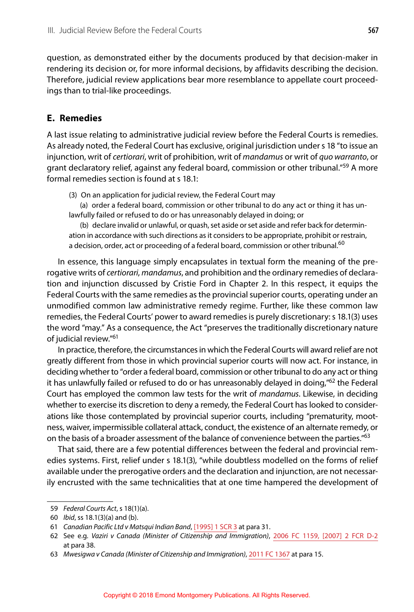question, as demonstrated either by the documents produced by that decision-maker in rendering its decision or, for more informal decisions, by affidavits describing the decision. Therefore, judicial review applications bear more resemblance to appellate court proceedings than to trial-like proceedings.

## **E. Remedies**

A last issue relating to administrative judicial review before the Federal Courts is remedies. As already noted, the Federal Court has exclusive, original jurisdiction under s 18 "to issue an injunction, writ of *certiorari*, writ of prohibition, writ of *mandamus* or writ of *quo warranto*, or grant declaratory relief, against any federal board, commission or other tribunal."<sup>59</sup> A more formal remedies section is found at s 18.1:

(3) On an application for judicial review, the Federal Court may

(a) order a federal board, commission or other tribunal to do any act or thing it has unlawfully failed or refused to do or has unreasonably delayed in doing; or

(b) declare invalid or unlawful, or quash, set aside or set aside and refer back for determination in accordance with such directions as it considers to be appropriate, prohibit or restrain, a decision, order, act or proceeding of a federal board, commission or other tribunal.<sup>60</sup>

In essence, this language simply encapsulates in textual form the meaning of the prerogative writs of *certiorari*, *mandamus*, and prohibition and the ordinary remedies of declaration and injunction discussed by Cristie Ford in Chapter 2. In this respect, it equips the Federal Courts with the same remedies as the provincial superior courts, operating under an unmodified common law administrative remedy regime. Further, like these common law remedies, the Federal Courts' power to award remedies is purely discretionary: s 18.1(3) uses the word "may." As a consequence, the Act "preserves the traditionally discretionary nature of judicial review."61

In practice, therefore, the circumstances in which the Federal Courts will award relief are not greatly different from those in which provincial superior courts will now act. For instance, in deciding whether to "order a federal board, commission or other tribunal to do any act or thing it has unlawfully failed or refused to do or has unreasonably delayed in doing,"<sup>62</sup> the Federal Court has employed the common law tests for the writ of *mandamus*. Likewise, in deciding whether to exercise its discretion to deny a remedy, the Federal Court has looked to considerations like those contemplated by provincial superior courts, including "prematurity, mootness, waiver, impermissible collateral attack, conduct, the existence of an alternate remedy, or on the basis of a broader assessment of the balance of convenience between the parties." $63$ 

That said, there are a few potential differences between the federal and provincial remedies systems. First, relief under s 18.1(3), "while doubtless modelled on the forms of relief available under the prerogative orders and the declaration and injunction, are not necessarily encrusted with the same technicalities that at one time hampered the development of

<sup>59</sup> *Federal Courts Act*, s 18(1)(a).

<sup>60</sup> *Ibid*, ss 18.1(3)(a) and (b).

<sup>61</sup> *Canadian Pacific Ltd v Matsqui Indian Band*, [\[1995\] 1 SCR 3](https://www.canlii.org/en/ca/scc/doc/1995/1995canlii145/1995canlii145.html?autocompleteStr=Canadian Pacific Ltd&autocompletePos=1) at para 31.

<sup>62</sup> See e.g. *Vaziri v Canada (Minister of Citizenship and Immigration)*, [2006 FC 1159, \[2007\] 2 FCR D-2](https://www.canlii.org/en/ca/fct/doc/2006/2006fc1159/2006fc1159.html?autocompleteStr=Vaziri v. Canada &autocompletePos=1) at para 38.

<sup>63</sup> *Mwesigwa v Canada (Minister of Citizenship and Immigration)*, [2011 FC 1367](https://www.canlii.org/en/ca/fct/doc/2011/2011fc1367/2011fc1367.html?autocompleteStr=Mwesigwa v. Canada &autocompletePos=1) at para 15.